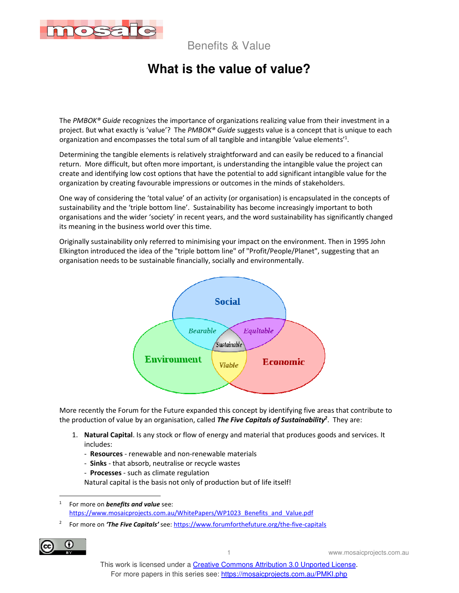

# **What is the value of value?**

The *PMBOK® Guide* recognizes the importance of organizations realizing value from their investment in a project. But what exactly is 'value'? The *PMBOK® Guide* suggests value is a concept that is unique to each organization and encompasses the total sum of all tangible and intangible 'value elements'<sup>1</sup>.

Determining the tangible elements is relatively straightforward and can easily be reduced to a financial return. More difficult, but often more important, is understanding the intangible value the project can create and identifying low cost options that have the potential to add significant intangible value for the organization by creating favourable impressions or outcomes in the minds of stakeholders.

One way of considering the 'total value' of an activity (or organisation) is encapsulated in the concepts of sustainability and the 'triple bottom line'. Sustainability has become increasingly important to both organisations and the wider 'society' in recent years, and the word sustainability has significantly changed its meaning in the business world over this time.

Originally sustainability only referred to minimising your impact on the environment. Then in 1995 John Elkington introduced the idea of the "triple bottom line" of "Profit/People/Planet", suggesting that an organisation needs to be sustainable financially, socially and environmentally.



More recently the Forum for the Future expanded this concept by identifying five areas that contribute to the production of value by an organisation, called *The Five Capitals of Sustainability<sup>2</sup>* . They are:

- 1. **Natural Capital**. Is any stock or flow of energy and material that produces goods and services. It includes:
	- **Resources** renewable and non-renewable materials
	- **Sinks** that absorb, neutralise or recycle wastes
	- **Processes** such as climate regulation

Natural capital is the basis not only of production but of life itself!

2 For more on *'The Five Capitals'* see: https://www.forumforthefuture.org/the-five-capitals



<sup>1</sup> For more on *benefits and value* see: https://www.mosaicprojects.com.au/WhitePapers/WP1023\_Benefits\_and\_Value.pdf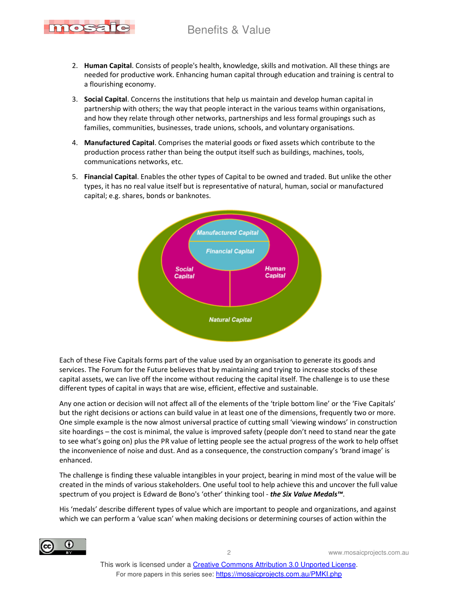

- 2. **Human Capital**. Consists of people's health, knowledge, skills and motivation. All these things are needed for productive work. Enhancing human capital through education and training is central to a flourishing economy.
- 3. **Social Capital**. Concerns the institutions that help us maintain and develop human capital in partnership with others; the way that people interact in the various teams within organisations, and how they relate through other networks, partnerships and less formal groupings such as families, communities, businesses, trade unions, schools, and voluntary organisations.
- 4. **Manufactured Capital**. Comprises the material goods or fixed assets which contribute to the production process rather than being the output itself such as buildings, machines, tools, communications networks, etc.
- 5. **Financial Capital**. Enables the other types of Capital to be owned and traded. But unlike the other types, it has no real value itself but is representative of natural, human, social or manufactured capital; e.g. shares, bonds or banknotes.



Each of these Five Capitals forms part of the value used by an organisation to generate its goods and services. The Forum for the Future believes that by maintaining and trying to increase stocks of these capital assets, we can live off the income without reducing the capital itself. The challenge is to use these different types of capital in ways that are wise, efficient, effective and sustainable.

Any one action or decision will not affect all of the elements of the 'triple bottom line' or the 'Five Capitals' but the right decisions or actions can build value in at least one of the dimensions, frequently two or more. One simple example is the now almost universal practice of cutting small 'viewing windows' in construction site hoardings – the cost is minimal, the value is improved safety (people don't need to stand near the gate to see what's going on) plus the PR value of letting people see the actual progress of the work to help offset the inconvenience of noise and dust. And as a consequence, the construction company's 'brand image' is enhanced.

The challenge is finding these valuable intangibles in your project, bearing in mind most of the value will be created in the minds of various stakeholders. One useful tool to help achieve this and uncover the full value spectrum of you project is Edward de Bono's 'other' thinking tool - *the Six Value Medals™*.

His 'medals' describe different types of value which are important to people and organizations, and against which we can perform a 'value scan' when making decisions or determining courses of action within the

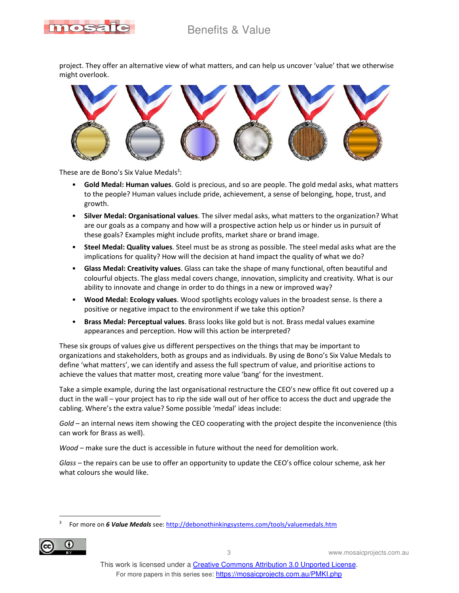

project. They offer an alternative view of what matters, and can help us uncover 'value' that we otherwise might overlook.



These are de Bono's Six Value Medals<sup>3</sup>:

- **Gold Medal: Human values**. Gold is precious, and so are people. The gold medal asks, what matters to the people? Human values include pride, achievement, a sense of belonging, hope, trust, and growth.
- **Silver Medal: Organisational values**. The silver medal asks, what matters to the organization? What are our goals as a company and how will a prospective action help us or hinder us in pursuit of these goals? Examples might include profits, market share or brand image.
- **Steel Medal: Quality values**. Steel must be as strong as possible. The steel medal asks what are the implications for quality? How will the decision at hand impact the quality of what we do?
- **Glass Medal: Creativity values**. Glass can take the shape of many functional, often beautiful and colourful objects. The glass medal covers change, innovation, simplicity and creativity. What is our ability to innovate and change in order to do things in a new or improved way?
- **Wood Medal: Ecology values**. Wood spotlights ecology values in the broadest sense. Is there a positive or negative impact to the environment if we take this option?
- **Brass Medal: Perceptual values**. Brass looks like gold but is not. Brass medal values examine appearances and perception. How will this action be interpreted?

These six groups of values give us different perspectives on the things that may be important to organizations and stakeholders, both as groups and as individuals. By using de Bono's Six Value Medals to define 'what matters', we can identify and assess the full spectrum of value, and prioritise actions to achieve the values that matter most, creating more value 'bang' for the investment.

Take a simple example, during the last organisational restructure the CEO's new office fit out covered up a duct in the wall – your project has to rip the side wall out of her office to access the duct and upgrade the cabling. Where's the extra value? Some possible 'medal' ideas include:

*Gold* – an internal news item showing the CEO cooperating with the project despite the inconvenience (this can work for Brass as well).

*Wood* – make sure the duct is accessible in future without the need for demolition work.

*Glass* – the repairs can be use to offer an opportunity to update the CEO's office colour scheme, ask her what colours she would like.

<sup>3</sup> For more on *6 Value Medals* see: http://debonothinkingsystems.com/tools/valuemedals.htm